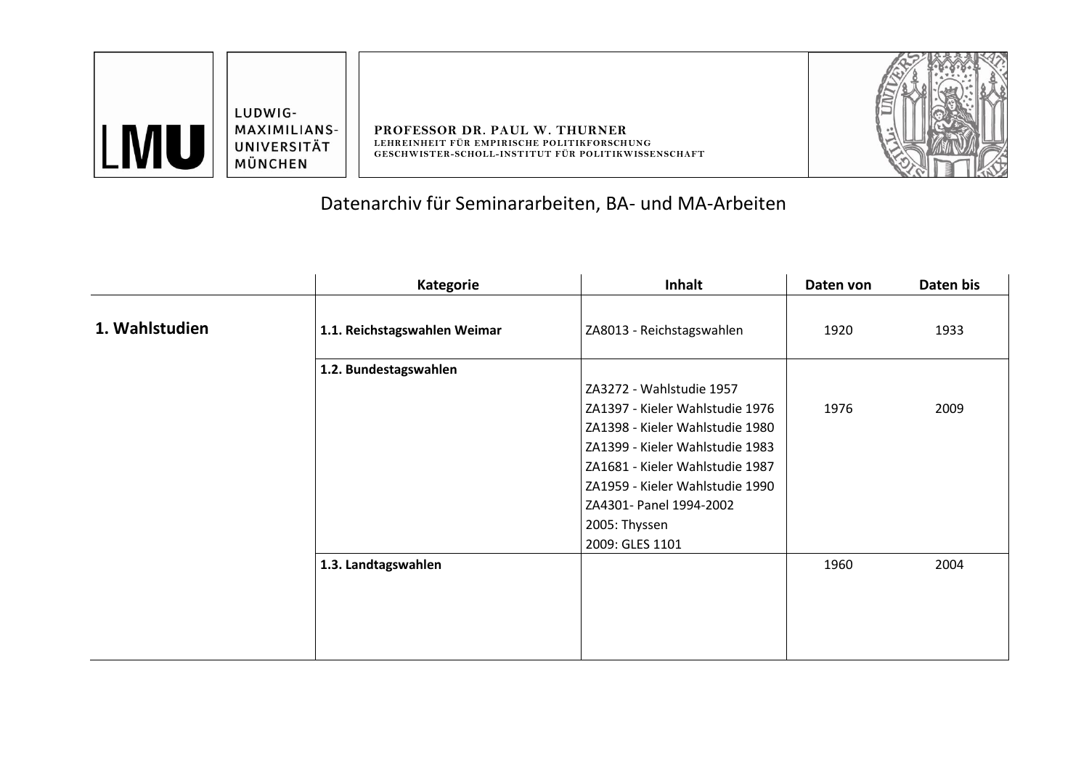| $\Lambda$ | LUDWIG-<br><b>MAXIMILIANS-</b><br>UNIVERSITÄT<br>MÜNCHEN | PROFESSOR DR. PAUL W. THURNER<br>LEHREINHEIT FÜR EMPIRISCHE POLITIKFORSCHUNG<br>GESCHWISTER-SCHOLL-INSTITUT FÜR POLITIKWISSENSCHAFT |  |
|-----------|----------------------------------------------------------|-------------------------------------------------------------------------------------------------------------------------------------|--|
|-----------|----------------------------------------------------------|-------------------------------------------------------------------------------------------------------------------------------------|--|

## Datenarchiv für Seminararbeiten, BA- und MA-Arbeiten

|                | <b>Kategorie</b>             | <b>Inhalt</b>                   | Daten von | Daten bis |
|----------------|------------------------------|---------------------------------|-----------|-----------|
| 1. Wahlstudien | 1.1. Reichstagswahlen Weimar | ZA8013 - Reichstagswahlen       | 1920      | 1933      |
|                | 1.2. Bundestagswahlen        | ZA3272 - Wahlstudie 1957        |           |           |
|                |                              | ZA1397 - Kieler Wahlstudie 1976 | 1976      | 2009      |
|                |                              | ZA1398 - Kieler Wahlstudie 1980 |           |           |
|                |                              | ZA1399 - Kieler Wahlstudie 1983 |           |           |
|                |                              | ZA1681 - Kieler Wahlstudie 1987 |           |           |
|                |                              | ZA1959 - Kieler Wahlstudie 1990 |           |           |
|                |                              | ZA4301- Panel 1994-2002         |           |           |
|                |                              | 2005: Thyssen                   |           |           |
|                |                              | 2009: GLES 1101                 |           |           |
|                | 1.3. Landtagswahlen          |                                 | 1960      | 2004      |
|                |                              |                                 |           |           |
|                |                              |                                 |           |           |
|                |                              |                                 |           |           |
|                |                              |                                 |           |           |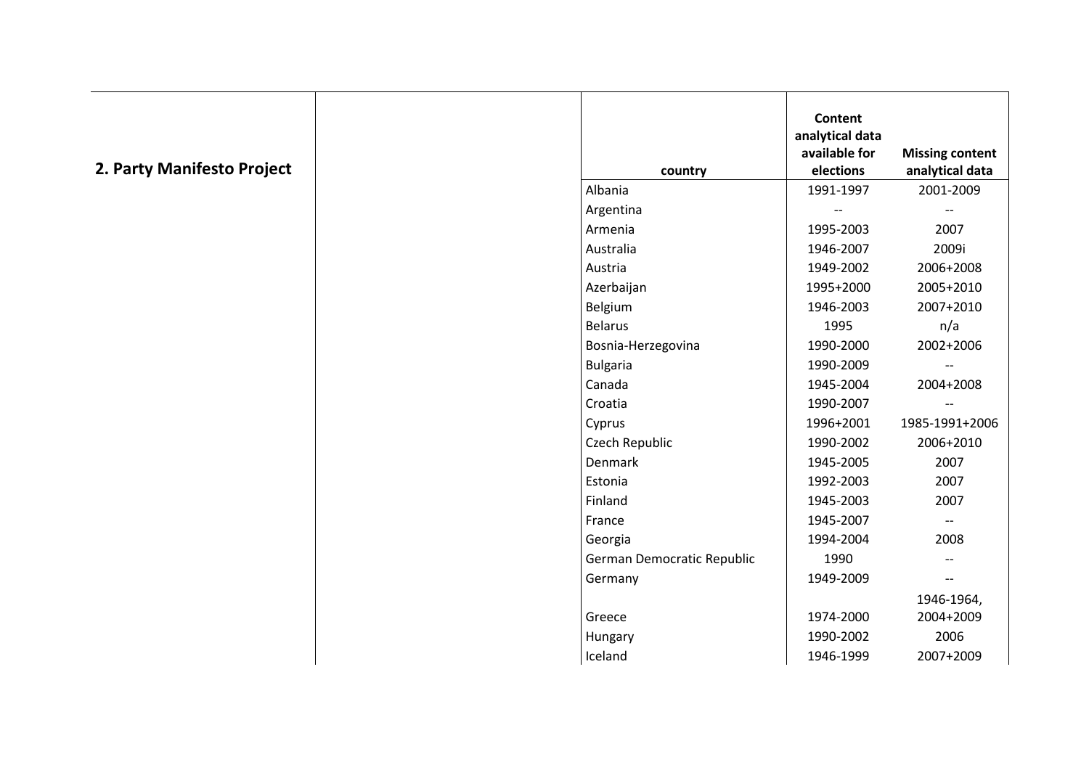|  | 2. Party Manifesto Project |  |
|--|----------------------------|--|
|  |                            |  |

|                 |                            | <b>Content</b><br>analytical data<br>available for | <b>Missing content</b>   |
|-----------------|----------------------------|----------------------------------------------------|--------------------------|
|                 | country                    | elections                                          | analytical data          |
| Albania         |                            | 1991-1997                                          | 2001-2009                |
| Argentina       |                            |                                                    | $\overline{\phantom{m}}$ |
| Armenia         |                            | 1995-2003                                          | 2007                     |
| Australia       |                            | 1946-2007                                          | 2009i                    |
| Austria         |                            | 1949-2002                                          | 2006+2008                |
|                 | Azerbaijan                 | 1995+2000                                          | 2005+2010                |
|                 | Belgium                    | 1946-2003                                          | 2007+2010                |
| <b>Belarus</b>  |                            | 1995                                               | n/a                      |
|                 | Bosnia-Herzegovina         | 1990-2000                                          | 2002+2006                |
| <b>Bulgaria</b> |                            | 1990-2009                                          | $\overline{\phantom{m}}$ |
| Canada          |                            | 1945-2004                                          | 2004+2008                |
| Croatia         |                            | 1990-2007                                          | $-$                      |
| Cyprus          |                            | 1996+2001                                          | 1985-1991+2006           |
|                 | Czech Republic             | 1990-2002                                          | 2006+2010                |
| Denmark         |                            | 1945-2005                                          | 2007                     |
|                 | Estonia                    | 1992-2003                                          | 2007                     |
|                 | Finland                    | 1945-2003                                          | 2007                     |
| France          |                            | 1945-2007                                          | $\overline{\phantom{m}}$ |
| Georgia         |                            | 1994-2004                                          | 2008                     |
|                 | German Democratic Republic | 1990                                               | $\overline{\phantom{a}}$ |
|                 | Germany                    | 1949-2009                                          | $-$                      |
|                 |                            |                                                    | 1946-1964,               |
| Greece          |                            | 1974-2000                                          | 2004+2009                |
| Hungary         |                            | 1990-2002                                          | 2006                     |
|                 | Iceland                    | 1946-1999                                          | 2007+2009                |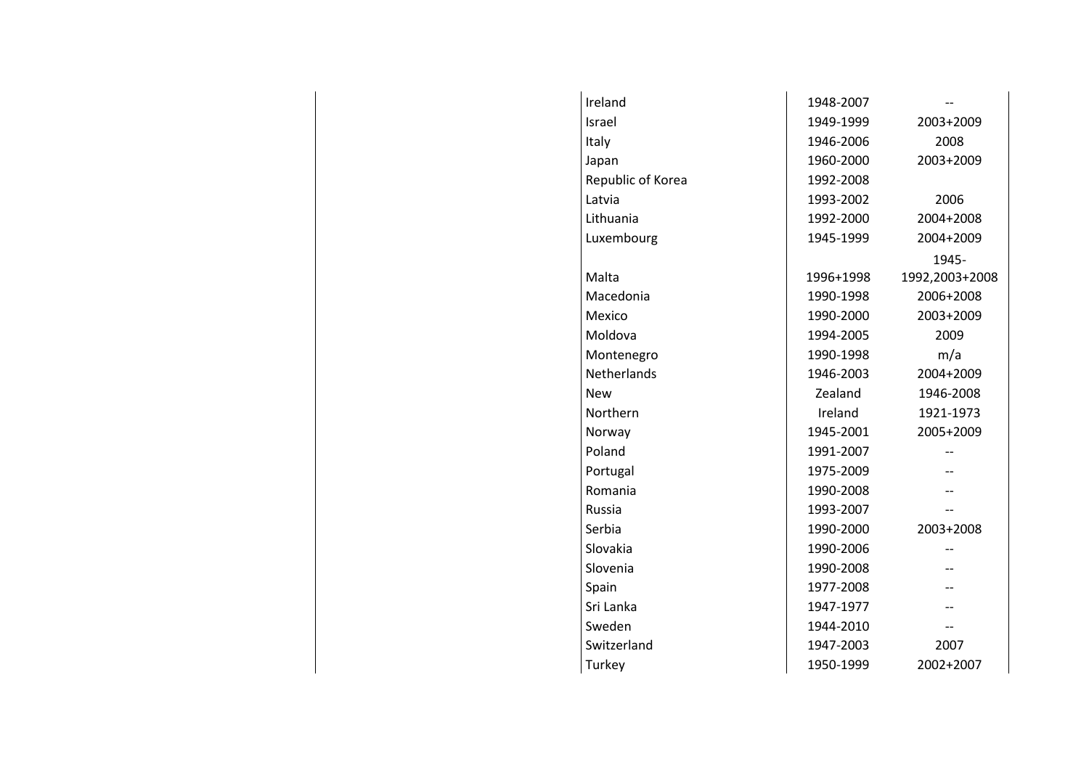| Ireland            | 1948-2007 |                |
|--------------------|-----------|----------------|
| Israel             | 1949-1999 | 2003+2009      |
| Italy              | 1946-2006 | 2008           |
| Japan              | 1960-2000 | 2003+2009      |
| Republic of Korea  | 1992-2008 |                |
| Latvia             | 1993-2002 | 2006           |
| Lithuania          | 1992-2000 | 2004+2008      |
| Luxembourg         | 1945-1999 | 2004+2009      |
|                    |           | 1945-          |
| Malta              | 1996+1998 | 1992,2003+2008 |
| Macedonia          | 1990-1998 | 2006+2008      |
| Mexico             | 1990-2000 | 2003+2009      |
| Moldova            | 1994-2005 | 2009           |
| Montenegro         | 1990-1998 | m/a            |
| <b>Netherlands</b> | 1946-2003 | 2004+2009      |
| New                | Zealand   | 1946-2008      |
| Northern           | Ireland   | 1921-1973      |
| Norway             | 1945-2001 | 2005+2009      |
| Poland             | 1991-2007 |                |
| Portugal           | 1975-2009 |                |
| Romania            | 1990-2008 |                |
| Russia             | 1993-2007 |                |
| Serbia             | 1990-2000 | 2003+2008      |
| Slovakia           | 1990-2006 |                |
| Slovenia           | 1990-2008 |                |
| Spain              | 1977-2008 |                |
| Sri Lanka          | 1947-1977 |                |
| Sweden             | 1944-2010 |                |
| Switzerland        | 1947-2003 | 2007           |
| Turkey             | 1950-1999 | 2002+2007      |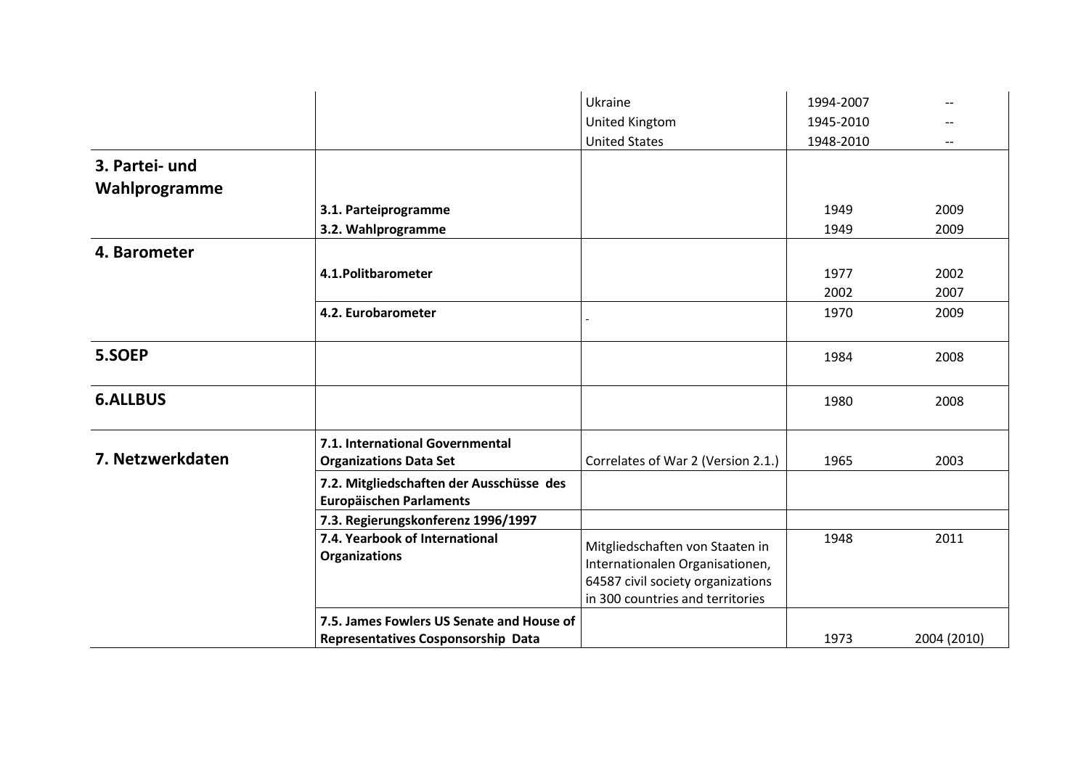|                  |                                           | Ukraine                            | 1994-2007 | $\overline{\phantom{a}}$ |
|------------------|-------------------------------------------|------------------------------------|-----------|--------------------------|
|                  |                                           | <b>United Kingtom</b>              | 1945-2010 |                          |
|                  |                                           | <b>United States</b>               | 1948-2010 |                          |
| 3. Partei- und   |                                           |                                    |           |                          |
| Wahlprogramme    |                                           |                                    |           |                          |
|                  | 3.1. Parteiprogramme                      |                                    | 1949      | 2009                     |
|                  | 3.2. Wahlprogramme                        |                                    | 1949      | 2009                     |
| 4. Barometer     |                                           |                                    |           |                          |
|                  |                                           |                                    |           |                          |
|                  | 4.1. Politbarometer                       |                                    | 1977      | 2002                     |
|                  |                                           |                                    | 2002      | 2007                     |
|                  | 4.2. Eurobarometer                        |                                    | 1970      | 2009                     |
|                  |                                           |                                    |           |                          |
| 5.SOEP           |                                           |                                    | 1984      | 2008                     |
|                  |                                           |                                    |           |                          |
| <b>6.ALLBUS</b>  |                                           |                                    | 1980      | 2008                     |
|                  |                                           |                                    |           |                          |
|                  | 7.1. International Governmental           |                                    |           |                          |
| 7. Netzwerkdaten | <b>Organizations Data Set</b>             | Correlates of War 2 (Version 2.1.) | 1965      | 2003                     |
|                  | 7.2. Mitgliedschaften der Ausschüsse des  |                                    |           |                          |
|                  | <b>Europäischen Parlaments</b>            |                                    |           |                          |
|                  | 7.3. Regierungskonferenz 1996/1997        |                                    |           |                          |
|                  | 7.4. Yearbook of International            | Mitgliedschaften von Staaten in    | 1948      | 2011                     |
|                  | <b>Organizations</b>                      | Internationalen Organisationen,    |           |                          |
|                  |                                           | 64587 civil society organizations  |           |                          |
|                  |                                           | in 300 countries and territories   |           |                          |
|                  | 7.5. James Fowlers US Senate and House of |                                    |           |                          |
|                  | <b>Representatives Cosponsorship Data</b> |                                    | 1973      | 2004 (2010)              |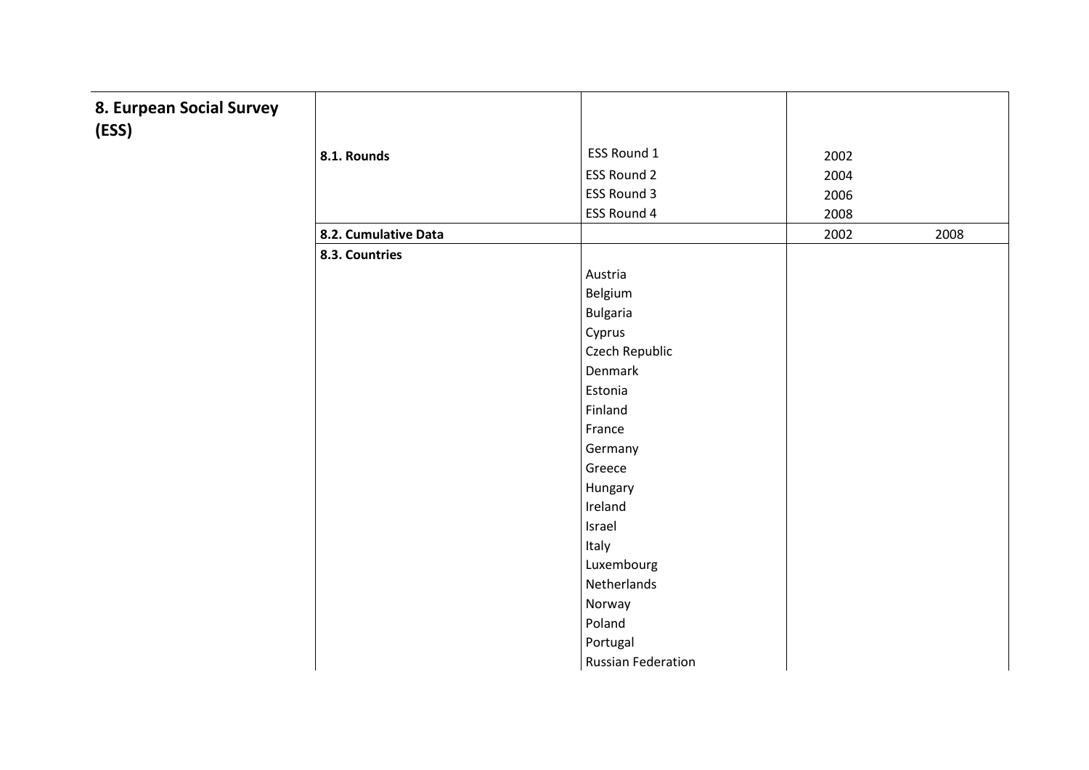## **8. Eurpean Social Survey (ESS)**

 $\top$ 

| 8.1. Rounds          | ESS Round 1               | 2002 |      |
|----------------------|---------------------------|------|------|
|                      | <b>ESS Round 2</b>        | 2004 |      |
|                      |                           |      |      |
|                      | ESS Round 3               | 2006 |      |
|                      | ESS Round 4               | 2008 |      |
| 8.2. Cumulative Data |                           | 2002 | 2008 |
| 8.3. Countries       |                           |      |      |
|                      | Austria                   |      |      |
|                      | Belgium                   |      |      |
|                      | <b>Bulgaria</b>           |      |      |
|                      | Cyprus                    |      |      |
|                      | Czech Republic            |      |      |
|                      | Denmark                   |      |      |
|                      | Estonia                   |      |      |
|                      | Finland                   |      |      |
|                      | France                    |      |      |
|                      | Germany                   |      |      |
|                      | Greece                    |      |      |
|                      | Hungary                   |      |      |
|                      | Ireland                   |      |      |
|                      | Israel                    |      |      |
|                      | Italy                     |      |      |
|                      | Luxembourg                |      |      |
|                      | Netherlands               |      |      |
|                      | Norway                    |      |      |
|                      | Poland                    |      |      |
|                      | Portugal                  |      |      |
|                      | <b>Russian Federation</b> |      |      |

┯